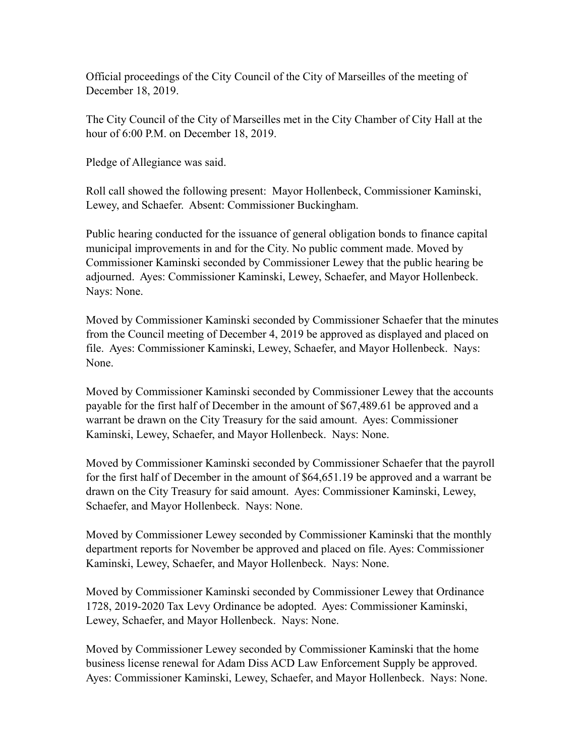Official proceedings of the City Council of the City of Marseilles of the meeting of December 18, 2019.

The City Council of the City of Marseilles met in the City Chamber of City Hall at the hour of 6:00 P.M. on December 18, 2019.

Pledge of Allegiance was said.

Roll call showed the following present: Mayor Hollenbeck, Commissioner Kaminski, Lewey, and Schaefer. Absent: Commissioner Buckingham.

Public hearing conducted for the issuance of general obligation bonds to finance capital municipal improvements in and for the City. No public comment made. Moved by Commissioner Kaminski seconded by Commissioner Lewey that the public hearing be adjourned. Ayes: Commissioner Kaminski, Lewey, Schaefer, and Mayor Hollenbeck. Nays: None.

Moved by Commissioner Kaminski seconded by Commissioner Schaefer that the minutes from the Council meeting of December 4, 2019 be approved as displayed and placed on file. Ayes: Commissioner Kaminski, Lewey, Schaefer, and Mayor Hollenbeck. Nays: None.

Moved by Commissioner Kaminski seconded by Commissioner Lewey that the accounts payable for the first half of December in the amount of \$67,489.61 be approved and a warrant be drawn on the City Treasury for the said amount. Ayes: Commissioner Kaminski, Lewey, Schaefer, and Mayor Hollenbeck. Nays: None.

Moved by Commissioner Kaminski seconded by Commissioner Schaefer that the payroll for the first half of December in the amount of \$64,651.19 be approved and a warrant be drawn on the City Treasury for said amount. Ayes: Commissioner Kaminski, Lewey, Schaefer, and Mayor Hollenbeck. Nays: None.

Moved by Commissioner Lewey seconded by Commissioner Kaminski that the monthly department reports for November be approved and placed on file. Ayes: Commissioner Kaminski, Lewey, Schaefer, and Mayor Hollenbeck. Nays: None.

Moved by Commissioner Kaminski seconded by Commissioner Lewey that Ordinance 1728, 2019-2020 Tax Levy Ordinance be adopted. Ayes: Commissioner Kaminski, Lewey, Schaefer, and Mayor Hollenbeck. Nays: None.

Moved by Commissioner Lewey seconded by Commissioner Kaminski that the home business license renewal for Adam Diss ACD Law Enforcement Supply be approved. Ayes: Commissioner Kaminski, Lewey, Schaefer, and Mayor Hollenbeck. Nays: None.